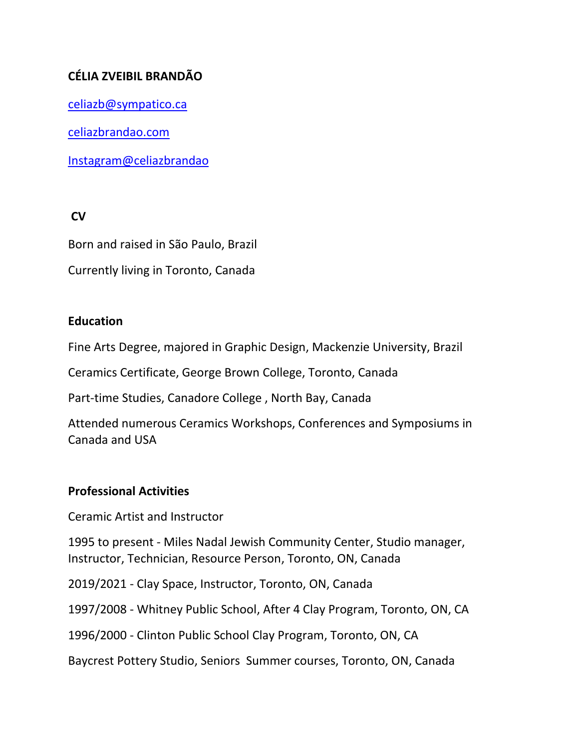# **CÉLIA ZVEIBIL BRANDÃO**

[celiazb@sympatico.ca](mailto:celiazb@sympatico.ca)

celiazbrandao.com

Instagram@celiazbrandao

**CV** 

Born and raised in São Paulo, Brazil

Currently living in Toronto, Canada

### **Education**

Fine Arts Degree, majored in Graphic Design, Mackenzie University, Brazil

Ceramics Certificate, George Brown College, Toronto, Canada

Part-time Studies, Canadore College , North Bay, Canada

Attended numerous Ceramics Workshops, Conferences and Symposiums in Canada and USA

#### **Professional Activities**

Ceramic Artist and Instructor

1995 to present - Miles Nadal Jewish Community Center, Studio manager, Instructor, Technician, Resource Person, Toronto, ON, Canada

2019/2021 - Clay Space, Instructor, Toronto, ON, Canada

1997/2008 - Whitney Public School, After 4 Clay Program, Toronto, ON, CA

1996/2000 - Clinton Public School Clay Program, Toronto, ON, CA

Baycrest Pottery Studio, Seniors Summer courses, Toronto, ON, Canada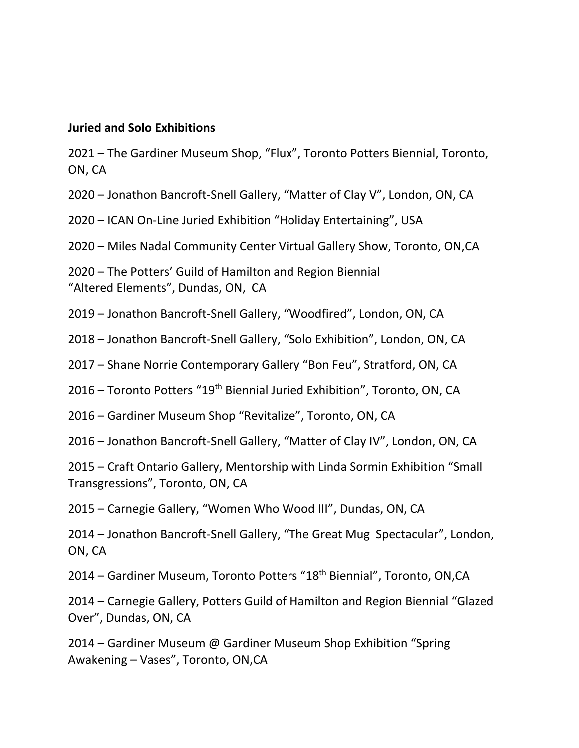#### **Juried and Solo Exhibitions**

 – The Gardiner Museum Shop, "Flux", Toronto Potters Biennial, Toronto, ON, CA

– Jonathon Bancroft-Snell Gallery, "Matter of Clay V", London, ON, CA

– ICAN On-Line Juried Exhibition "Holiday Entertaining", USA

– Miles Nadal Community Center Virtual Gallery Show, Toronto, ON,CA

– The Potters' Guild of Hamilton and Region Biennial "Altered Elements", Dundas, ON, CA

– Jonathon Bancroft-Snell Gallery, "Woodfired", London, ON, CA

– Jonathon Bancroft-Snell Gallery, "Solo Exhibition", London, ON, CA

– Shane Norrie Contemporary Gallery "Bon Feu", Stratford, ON, CA

– Toronto Potters "19th Biennial Juried Exhibition", Toronto, ON, CA

– Gardiner Museum Shop "Revitalize", Toronto, ON, CA

– Jonathon Bancroft-Snell Gallery, "Matter of Clay IV", London, ON, CA

– Craft Ontario Gallery, Mentorship with Linda Sormin Exhibition "Small Transgressions", Toronto, ON, CA

– Carnegie Gallery, "Women Who Wood III", Dundas, ON, CA

– Jonathon Bancroft-Snell Gallery, "The Great Mug Spectacular", London, ON, CA

– Gardiner Museum, Toronto Potters "18th Biennial", Toronto, ON,CA

– Carnegie Gallery, Potters Guild of Hamilton and Region Biennial "Glazed Over", Dundas, ON, CA

– Gardiner Museum @ Gardiner Museum Shop Exhibition "Spring Awakening – Vases", Toronto, ON,CA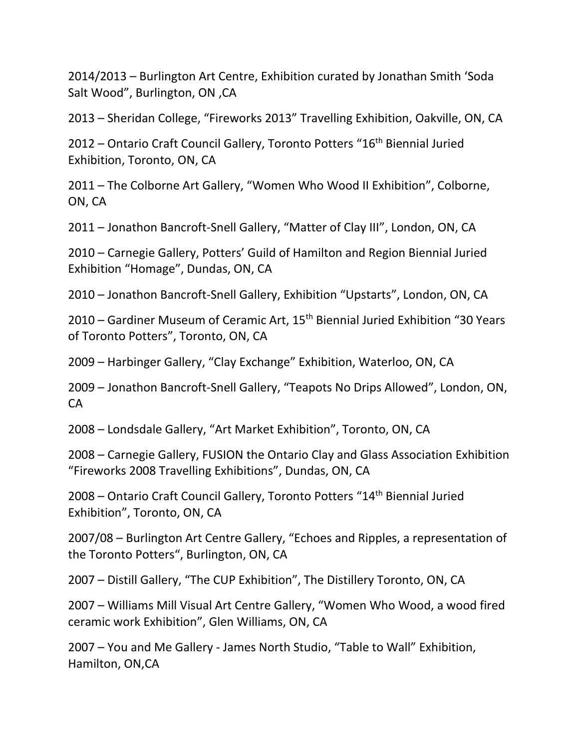2014/2013 – Burlington Art Centre, Exhibition curated by Jonathan Smith 'Soda Salt Wood", Burlington, ON ,CA

2013 – Sheridan College, "Fireworks 2013" Travelling Exhibition, Oakville, ON, CA

2012 – Ontario Craft Council Gallery, Toronto Potters "16<sup>th</sup> Biennial Juried Exhibition, Toronto, ON, CA

2011 – The Colborne Art Gallery, "Women Who Wood II Exhibition", Colborne, ON, CA

2011 – Jonathon Bancroft-Snell Gallery, "Matter of Clay III", London, ON, CA

2010 – Carnegie Gallery, Potters' Guild of Hamilton and Region Biennial Juried Exhibition "Homage", Dundas, ON, CA

2010 – Jonathon Bancroft-Snell Gallery, Exhibition "Upstarts", London, ON, CA

2010 – Gardiner Museum of Ceramic Art,  $15<sup>th</sup>$  Biennial Juried Exhibition "30 Years of Toronto Potters", Toronto, ON, CA

2009 – Harbinger Gallery, "Clay Exchange" Exhibition, Waterloo, ON, CA

2009 – Jonathon Bancroft-Snell Gallery, "Teapots No Drips Allowed", London, ON, CA

2008 – Londsdale Gallery, "Art Market Exhibition", Toronto, ON, CA

2008 – Carnegie Gallery, FUSION the Ontario Clay and Glass Association Exhibition "Fireworks 2008 Travelling Exhibitions", Dundas, ON, CA

2008 – Ontario Craft Council Gallery, Toronto Potters "14<sup>th</sup> Biennial Juried Exhibition", Toronto, ON, CA

2007/08 – Burlington Art Centre Gallery, "Echoes and Ripples, a representation of the Toronto Potters", Burlington, ON, CA

2007 – Distill Gallery, "The CUP Exhibition", The Distillery Toronto, ON, CA

2007 – Williams Mill Visual Art Centre Gallery, "Women Who Wood, a wood fired ceramic work Exhibition", Glen Williams, ON, CA

2007 – You and Me Gallery - James North Studio, "Table to Wall" Exhibition, Hamilton, ON,CA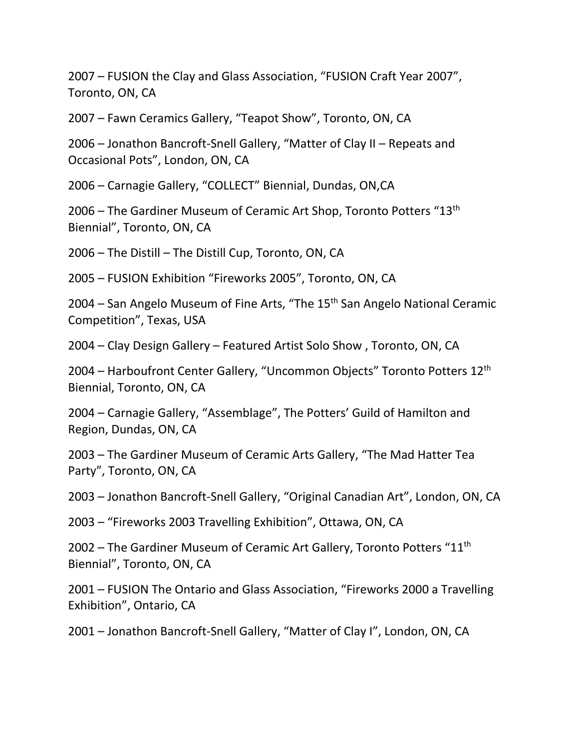2007 – FUSION the Clay and Glass Association, "FUSION Craft Year 2007", Toronto, ON, CA

2007 – Fawn Ceramics Gallery, "Teapot Show", Toronto, ON, CA

2006 – Jonathon Bancroft-Snell Gallery, "Matter of Clay II – Repeats and Occasional Pots", London, ON, CA

2006 – Carnagie Gallery, "COLLECT" Biennial, Dundas, ON,CA

2006 – The Gardiner Museum of Ceramic Art Shop, Toronto Potters " $13<sup>th</sup>$ Biennial", Toronto, ON, CA

2006 – The Distill – The Distill Cup, Toronto, ON, CA

2005 – FUSION Exhibition "Fireworks 2005", Toronto, ON, CA

2004 – San Angelo Museum of Fine Arts, "The 15th San Angelo National Ceramic Competition", Texas, USA

2004 – Clay Design Gallery – Featured Artist Solo Show , Toronto, ON, CA

2004 – Harboufront Center Gallery, "Uncommon Objects" Toronto Potters 12th Biennial, Toronto, ON, CA

2004 – Carnagie Gallery, "Assemblage", The Potters' Guild of Hamilton and Region, Dundas, ON, CA

2003 – The Gardiner Museum of Ceramic Arts Gallery, "The Mad Hatter Tea Party", Toronto, ON, CA

2003 – Jonathon Bancroft-Snell Gallery, "Original Canadian Art", London, ON, CA

2003 – "Fireworks 2003 Travelling Exhibition", Ottawa, ON, CA

2002 – The Gardiner Museum of Ceramic Art Gallery, Toronto Potters  $"11"$ Biennial", Toronto, ON, CA

2001 – FUSION The Ontario and Glass Association, "Fireworks 2000 a Travelling Exhibition", Ontario, CA

2001 – Jonathon Bancroft-Snell Gallery, "Matter of Clay I", London, ON, CA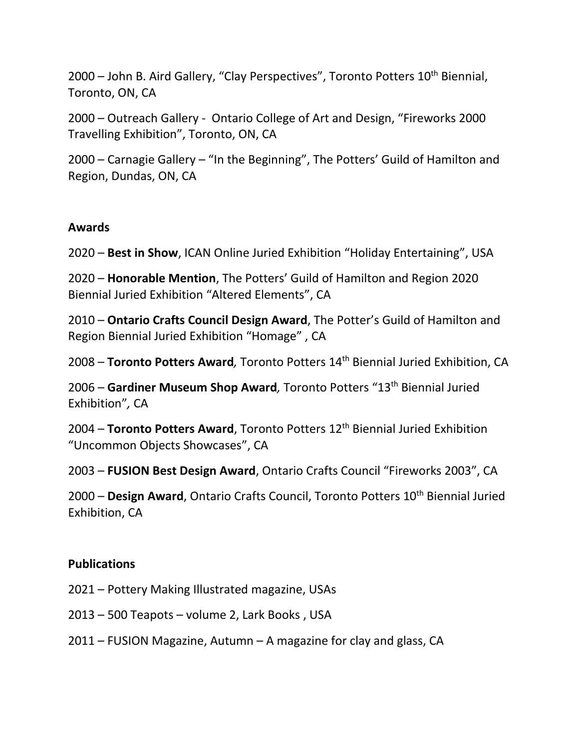2000 – John B. Aird Gallery, "Clay Perspectives", Toronto Potters 10<sup>th</sup> Biennial, Toronto, ON, CA

2000 – Outreach Gallery - Ontario College of Art and Design, "Fireworks 2000 Travelling Exhibition", Toronto, ON, CA

2000 – Carnagie Gallery – "In the Beginning", The Potters' Guild of Hamilton and Region, Dundas, ON, CA

### **Awards**

2020 – **Best in Show**, ICAN Online Juried Exhibition "Holiday Entertaining", USA

2020 – **Honorable Mention**, The Potters' Guild of Hamilton and Region 2020 Biennial Juried Exhibition "Altered Elements", CA

2010 – **Ontario Crafts Council Design Award**, The Potter's Guild of Hamilton and Region Biennial Juried Exhibition "Homage" , CA

2008 – **Toronto Potters Award***,* Toronto Potters 14th Biennial Juried Exhibition, CA

2006 – **Gardiner Museum Shop Award***,* Toronto Potters "13th Biennial Juried Exhibition"*,* CA

2004 – **Toronto Potters Award**, Toronto Potters 12th Biennial Juried Exhibition "Uncommon Objects Showcases", CA

2003 – **FUSION Best Design Award**, Ontario Crafts Council "Fireworks 2003", CA

2000 – **Design Award**, Ontario Crafts Council, Toronto Potters 10<sup>th</sup> Biennial Juried Exhibition, CA

## **Publications**

2021 – Pottery Making Illustrated magazine, USAs

2013 – 500 Teapots – volume 2, Lark Books , USA

2011 – FUSION Magazine, Autumn – A magazine for clay and glass, CA